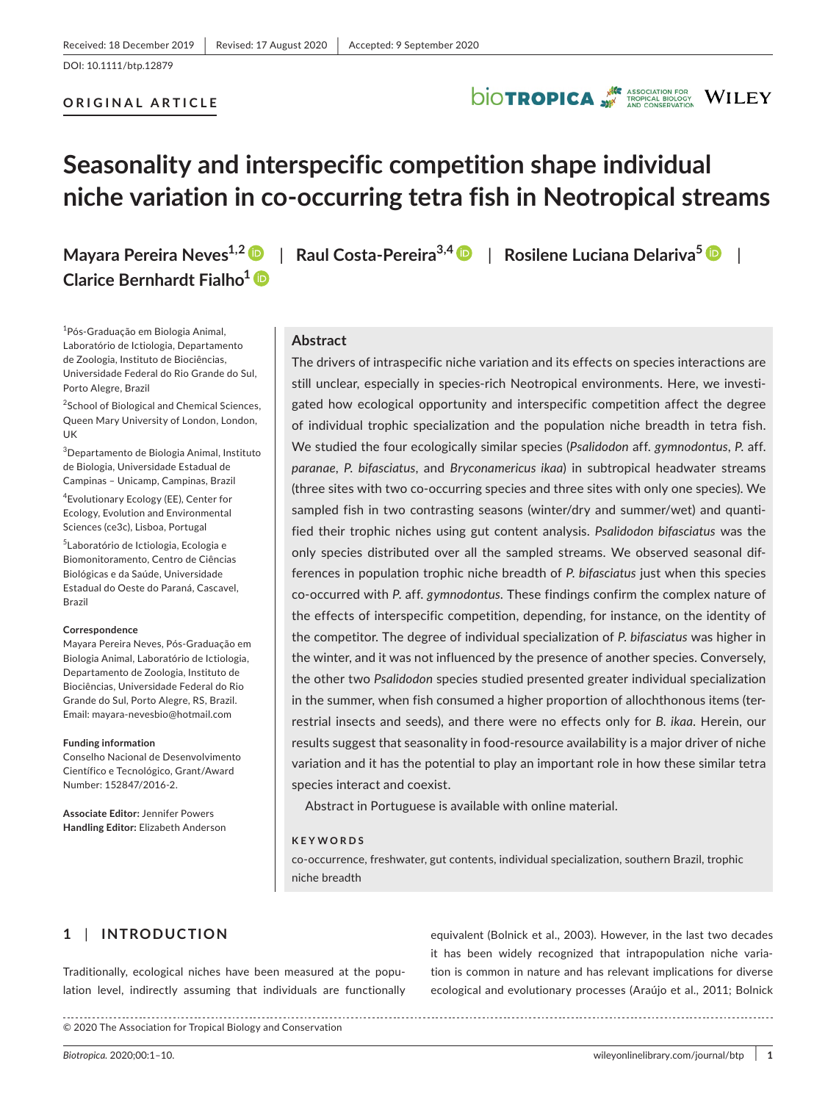DOI: 10.1111/btp.12879

### **ORIGINAL ARTICLE**

## **DIOTROPICA** WILEY

## **Seasonality and interspecific competition shape individual niche variation in co-occurring tetra fish in Neotropical streams**

**Mayara Pereira Neves1,[2](https://orcid.org/0000-0003-2523-3874)** | **Raul Costa-Pereira3,4** | **Rosilene Luciana Delariva<sup>5</sup>** | **Clarice Bernhardt Fialho1**

#### <sup>1</sup>Pós-Graduação em Biologia Animal, Laboratório de Ictiologia, Departamento de Zoologia, Instituto de Biociências, Universidade Federal do Rio Grande do Sul, Porto Alegre, Brazil

<sup>2</sup>School of Biological and Chemical Sciences, Queen Mary University of London, London, UK

3 Departamento de Biologia Animal, Instituto de Biologia, Universidade Estadual de Campinas – Unicamp, Campinas, Brazil

4 Evolutionary Ecology (EE), Center for Ecology, Evolution and Environmental Sciences (ce3c), Lisboa, Portugal

5 Laboratório de Ictiologia, Ecologia e Biomonitoramento, Centro de Ciências Biológicas e da Saúde, Universidade Estadual do Oeste do Paraná, Cascavel, Brazil

#### **Correspondence**

Mayara Pereira Neves, Pós-Graduação em Biologia Animal, Laboratório de Ictiologia, Departamento de Zoologia, Instituto de Biociências, Universidade Federal do Rio Grande do Sul, Porto Alegre, RS, Brazil. Email: [mayara-nevesbio@hotmail.com](mailto:mayara-nevesbio@hotmail.com)

#### **Funding information**

Conselho Nacional de Desenvolvimento Científico e Tecnológico, Grant/Award Number: 152847/2016-2.

**Associate Editor:** Jennifer Powers **Handling Editor:** Elizabeth Anderson

## **Abstract**

The drivers of intraspecific niche variation and its effects on species interactions are still unclear, especially in species-rich Neotropical environments. Here, we investigated how ecological opportunity and interspecific competition affect the degree of individual trophic specialization and the population niche breadth in tetra fish. We studied the four ecologically similar species (*Psalidodon* aff. *gymnodontus*, *P*. aff. *paranae*, *P. bifasciatus*, and *Bryconamericus ikaa*) in subtropical headwater streams (three sites with two co-occurring species and three sites with only one species). We sampled fish in two contrasting seasons (winter/dry and summer/wet) and quantified their trophic niches using gut content analysis. *Psalidodon bifasciatus* was the only species distributed over all the sampled streams. We observed seasonal differences in population trophic niche breadth of *P. bifasciatus* just when this species co-occurred with *P*. aff. *gymnodontus*. These findings confirm the complex nature of the effects of interspecific competition, depending, for instance, on the identity of the competitor. The degree of individual specialization of *P. bifasciatus* was higher in the winter, and it was not influenced by the presence of another species. Conversely, the other two *Psalidodon* species studied presented greater individual specialization in the summer, when fish consumed a higher proportion of allochthonous items (terrestrial insects and seeds), and there were no effects only for *B. ikaa*. Herein, our results suggest that seasonality in food-resource availability is a major driver of niche variation and it has the potential to play an important role in how these similar tetra species interact and coexist.

Abstract in Portuguese is available with online material.

#### **KEYWORDS**

co-occurrence, freshwater, gut contents, individual specialization, southern Brazil, trophic niche breadth

## **1** | **INTRODUCTION**

Traditionally, ecological niches have been measured at the population level, indirectly assuming that individuals are functionally equivalent (Bolnick et al., 2003). However, in the last two decades it has been widely recognized that intrapopulation niche variation is common in nature and has relevant implications for diverse ecological and evolutionary processes (Araújo et al., 2011; Bolnick

© 2020 The Association for Tropical Biology and Conservation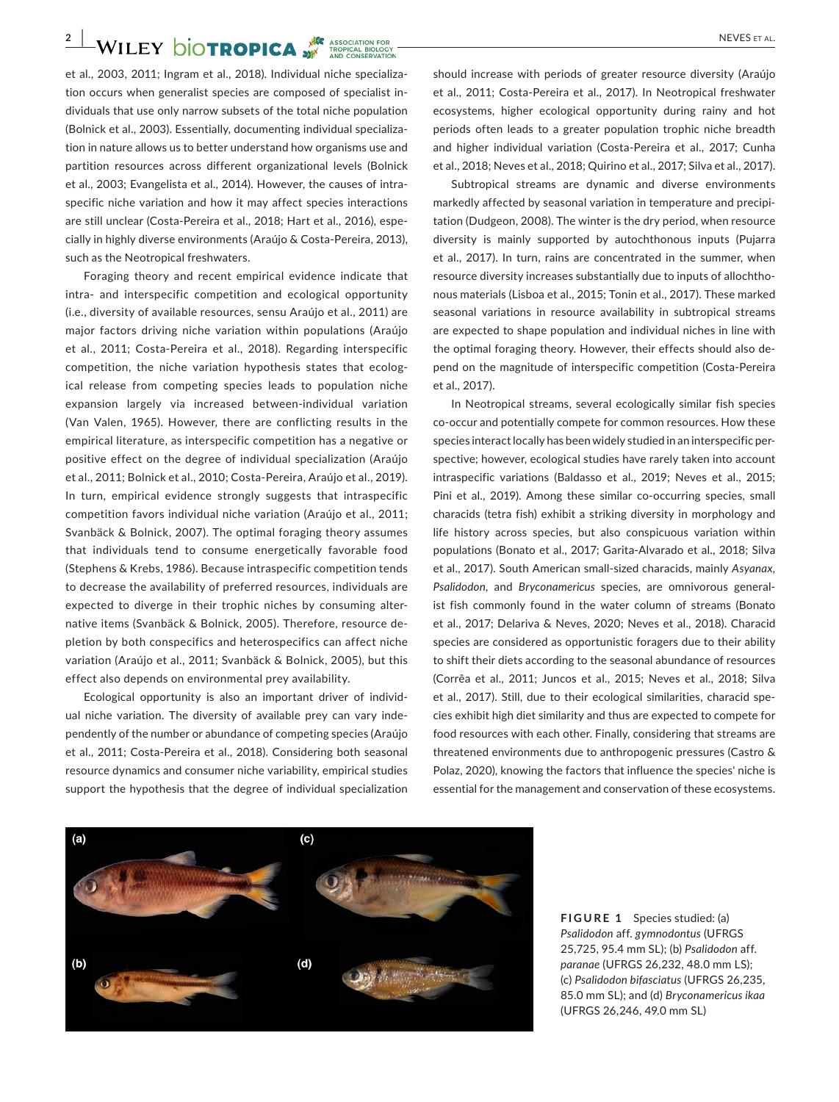## **2 WILEY DIOTROPICA WE ASSOCIATION FOR**

et al., 2003, 2011; Ingram et al., 2018). Individual niche specialization occurs when generalist species are composed of specialist individuals that use only narrow subsets of the total niche population (Bolnick et al., 2003). Essentially, documenting individual specialization in nature allows us to better understand how organisms use and partition resources across different organizational levels (Bolnick et al., 2003; Evangelista et al., 2014). However, the causes of intraspecific niche variation and how it may affect species interactions are still unclear (Costa-Pereira et al., 2018; Hart et al., 2016), especially in highly diverse environments (Araújo & Costa-Pereira, 2013), such as the Neotropical freshwaters.

Foraging theory and recent empirical evidence indicate that intra- and interspecific competition and ecological opportunity (i.e., diversity of available resources, sensu Araújo et al., 2011) are major factors driving niche variation within populations (Araújo et al., 2011; Costa-Pereira et al., 2018). Regarding interspecific competition, the niche variation hypothesis states that ecological release from competing species leads to population niche expansion largely via increased between-individual variation (Van Valen, 1965). However, there are conflicting results in the empirical literature, as interspecific competition has a negative or positive effect on the degree of individual specialization (Araújo et al., 2011; Bolnick et al., 2010; Costa-Pereira, Araújo et al., 2019). In turn, empirical evidence strongly suggests that intraspecific competition favors individual niche variation (Araújo et al., 2011; Svanbäck & Bolnick, 2007). The optimal foraging theory assumes that individuals tend to consume energetically favorable food (Stephens & Krebs, 1986). Because intraspecific competition tends to decrease the availability of preferred resources, individuals are expected to diverge in their trophic niches by consuming alternative items (Svanbäck & Bolnick, 2005). Therefore, resource depletion by both conspecifics and heterospecifics can affect niche variation (Araújo et al., 2011; Svanbäck & Bolnick, 2005), but this effect also depends on environmental prey availability.

Ecological opportunity is also an important driver of individual niche variation. The diversity of available prey can vary independently of the number or abundance of competing species (Araújo et al., 2011; Costa-Pereira et al., 2018). Considering both seasonal resource dynamics and consumer niche variability, empirical studies support the hypothesis that the degree of individual specialization

should increase with periods of greater resource diversity (Araújo et al., 2011; Costa-Pereira et al., 2017). In Neotropical freshwater ecosystems, higher ecological opportunity during rainy and hot periods often leads to a greater population trophic niche breadth and higher individual variation (Costa-Pereira et al., 2017; Cunha et al., 2018; Neves et al., 2018; Quirino et al., 2017; Silva et al., 2017).

Subtropical streams are dynamic and diverse environments markedly affected by seasonal variation in temperature and precipitation (Dudgeon, 2008). The winter is the dry period, when resource diversity is mainly supported by autochthonous inputs (Pujarra et al., 2017). In turn, rains are concentrated in the summer, when resource diversity increases substantially due to inputs of allochthonous materials (Lisboa et al., 2015; Tonin et al., 2017). These marked seasonal variations in resource availability in subtropical streams are expected to shape population and individual niches in line with the optimal foraging theory. However, their effects should also depend on the magnitude of interspecific competition (Costa-Pereira et al., 2017).

In Neotropical streams, several ecologically similar fish species co-occur and potentially compete for common resources. How these species interact locally has been widely studied in an interspecific perspective; however, ecological studies have rarely taken into account intraspecific variations (Baldasso et al., 2019; Neves et al., 2015; Pini et al., 2019). Among these similar co-occurring species, small characids (tetra fish) exhibit a striking diversity in morphology and life history across species, but also conspicuous variation within populations (Bonato et al., 2017; Garita-Alvarado et al., 2018; Silva et al., 2017). South American small-sized characids, mainly *Asyanax, Psalidodon*, and *Bryconamericus* species, are omnivorous generalist fish commonly found in the water column of streams (Bonato et al., 2017; Delariva & Neves, 2020; Neves et al., 2018). Characid species are considered as opportunistic foragers due to their ability to shift their diets according to the seasonal abundance of resources (Corrêa et al., 2011; Juncos et al., 2015; Neves et al., 2018; Silva et al., 2017). Still, due to their ecological similarities, characid species exhibit high diet similarity and thus are expected to compete for food resources with each other. Finally, considering that streams are threatened environments due to anthropogenic pressures (Castro & Polaz, 2020), knowing the factors that influence the species' niche is essential for the management and conservation of these ecosystems.



**FIGURE 1** Species studied: (a) *Psalidodon* aff. *gymnodontus* (UFRGS 25,725, 95.4 mm SL); (b) *Psalidodon* aff. *paranae* (UFRGS 26,232, 48.0 mm LS); (c) *Psalidodon bifasciatus* (UFRGS 26,235, 85.0 mm SL); and (d) *Bryconamericus ikaa* (UFRGS 26,246, 49.0 mm SL)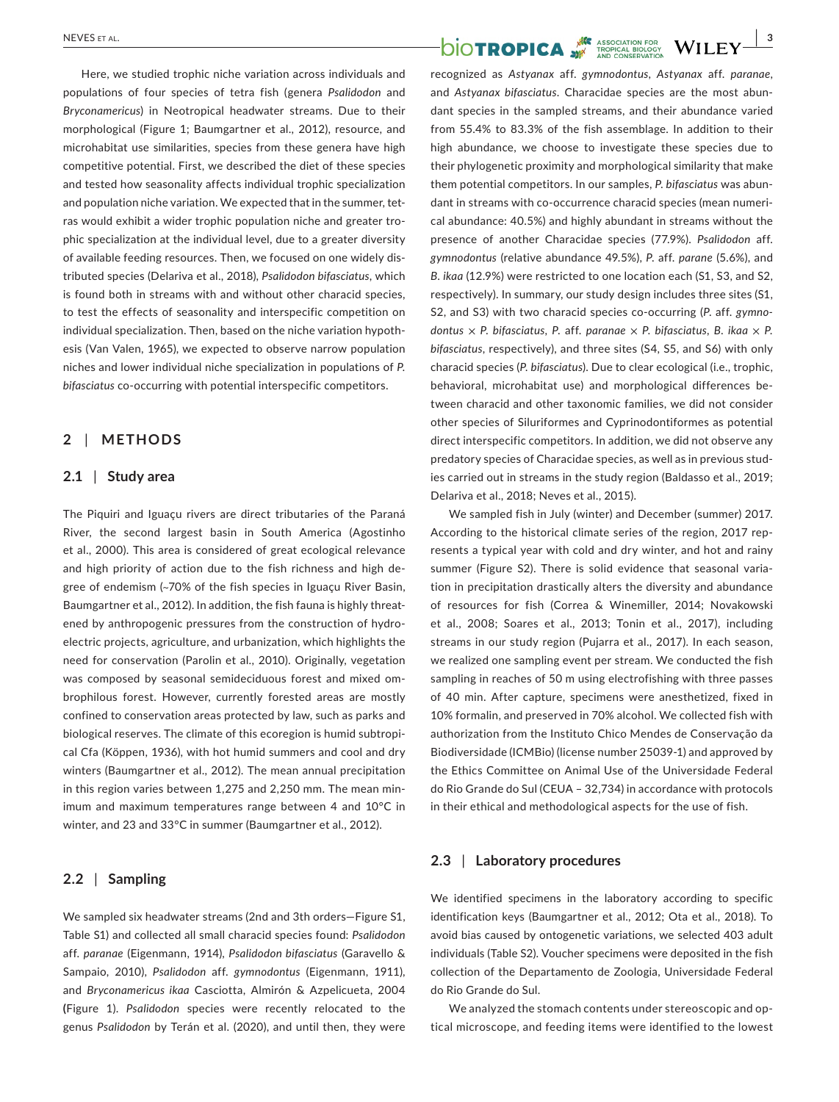Here, we studied trophic niche variation across individuals and populations of four species of tetra fish (genera *Psalidodon* and *Bryconamericus*) in Neotropical headwater streams. Due to their morphological (Figure 1; Baumgartner et al., 2012), resource, and microhabitat use similarities, species from these genera have high competitive potential. First, we described the diet of these species and tested how seasonality affects individual trophic specialization and population niche variation. We expected that in the summer, tetras would exhibit a wider trophic population niche and greater trophic specialization at the individual level, due to a greater diversity of available feeding resources. Then, we focused on one widely distributed species (Delariva et al., 2018), *Psalidodon bifasciatus*, which is found both in streams with and without other characid species, to test the effects of seasonality and interspecific competition on individual specialization. Then, based on the niche variation hypothesis (Van Valen, 1965), we expected to observe narrow population niches and lower individual niche specialization in populations of *P. bifasciatus* co-occurring with potential interspecific competitors.

## **2** | **METHODS**

#### **2.1** | **Study area**

The Piquiri and Iguaçu rivers are direct tributaries of the Paraná River, the second largest basin in South America (Agostinho et al., 2000). This area is considered of great ecological relevance and high priority of action due to the fish richness and high degree of endemism (~70% of the fish species in Iguaçu River Basin, Baumgartner et al., 2012). In addition, the fish fauna is highly threatened by anthropogenic pressures from the construction of hydroelectric projects, agriculture, and urbanization, which highlights the need for conservation (Parolin et al., 2010). Originally, vegetation was composed by seasonal semideciduous forest and mixed ombrophilous forest. However, currently forested areas are mostly confined to conservation areas protected by law, such as parks and biological reserves. The climate of this ecoregion is humid subtropical Cfa (Köppen, 1936), with hot humid summers and cool and dry winters (Baumgartner et al., 2012). The mean annual precipitation in this region varies between 1,275 and 2,250 mm. The mean minimum and maximum temperatures range between 4 and 10°C in winter, and 23 and 33°C in summer (Baumgartner et al., 2012).

## **2.2** | **Sampling**

We sampled six headwater streams (2nd and 3th orders—Figure S1, Table S1) and collected all small characid species found: *Psalidodon* aff. *paranae* (Eigenmann, 1914), *Psalidodon bifasciatus* (Garavello & Sampaio, 2010), *Psalidodon* aff. *gymnodontus* (Eigenmann, 1911), and *Bryconamericus ikaa* Casciotta, Almirón & Azpelicueta, 2004 **(**Figure 1). *Psalidodon* species were recently relocated to the genus *Psalidodon* by Terán et al. (2020), and until then, they were

# **NEVES ET AL.**<br> **DIOTROPICA**

recognized as *Astyanax* aff. *gymnodontus*, *Astyanax* aff. *paranae*, and *Astyanax bifasciatus*. Characidae species are the most abundant species in the sampled streams, and their abundance varied from 55.4% to 83.3% of the fish assemblage. In addition to their high abundance, we choose to investigate these species due to their phylogenetic proximity and morphological similarity that make them potential competitors. In our samples, *P. bifasciatus* was abundant in streams with co-occurrence characid species (mean numerical abundance: 40.5%) and highly abundant in streams without the presence of another Characidae species (77.9%). *Psalidodon* aff. *gymnodontus* (relative abundance 49.5%), *P*. aff. *parane* (5.6%), and *B. ikaa* (12.9%) were restricted to one location each (S1, S3, and S2, respectively). In summary, our study design includes three sites (S1, S2, and S3) with two characid species co-occurring (*P*. aff. *gymnodontus* × *P. bifasciatus*, *P*. aff. *paranae* × *P. bifasciatus*, *B. ikaa* × *P. bifasciatus*, respectively), and three sites (S4, S5, and S6) with only characid species (*P. bifasciatus*). Due to clear ecological (i.e., trophic, behavioral, microhabitat use) and morphological differences between characid and other taxonomic families, we did not consider other species of Siluriformes and Cyprinodontiformes as potential direct interspecific competitors. In addition, we did not observe any predatory species of Characidae species, as well as in previous studies carried out in streams in the study region (Baldasso et al., 2019; Delariva et al., 2018; Neves et al., 2015).

We sampled fish in July (winter) and December (summer) 2017. According to the historical climate series of the region, 2017 represents a typical year with cold and dry winter, and hot and rainy summer (Figure S2). There is solid evidence that seasonal variation in precipitation drastically alters the diversity and abundance of resources for fish (Correa & Winemiller, 2014; Novakowski et al., 2008; Soares et al., 2013; Tonin et al., 2017), including streams in our study region (Pujarra et al., 2017). In each season, we realized one sampling event per stream. We conducted the fish sampling in reaches of 50 m using electrofishing with three passes of 40 min. After capture, specimens were anesthetized, fixed in 10% formalin, and preserved in 70% alcohol. We collected fish with authorization from the Instituto Chico Mendes de Conservação da Biodiversidade (ICMBio) (license number 25039-1) and approved by the Ethics Committee on Animal Use of the Universidade Federal do Rio Grande do Sul (CEUA – 32,734) in accordance with protocols in their ethical and methodological aspects for the use of fish.

## **2.3** | **Laboratory procedures**

We identified specimens in the laboratory according to specific identification keys (Baumgartner et al., 2012; Ota et al., 2018). To avoid bias caused by ontogenetic variations, we selected 403 adult individuals (Table S2). Voucher specimens were deposited in the fish collection of the Departamento de Zoologia, Universidade Federal do Rio Grande do Sul.

We analyzed the stomach contents under stereoscopic and optical microscope, and feeding items were identified to the lowest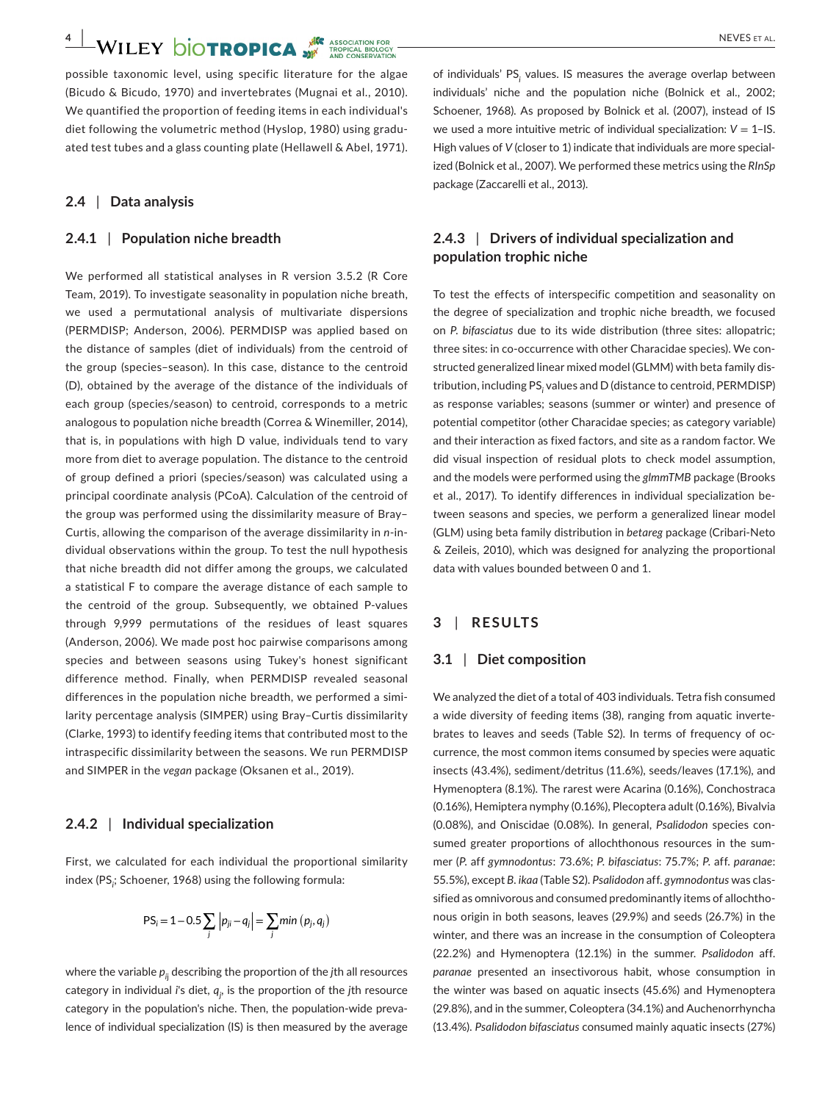possible taxonomic level, using specific literature for the algae (Bicudo & Bicudo, 1970) and invertebrates (Mugnai et al., 2010). We quantified the proportion of feeding items in each individual's diet following the volumetric method (Hyslop, 1980) using graduated test tubes and a glass counting plate (Hellawell & Abel, 1971).

#### **2.4** | **Data analysis**

## **2.4.1** | **Population niche breadth**

We performed all statistical analyses in R version 3.5.2 (R Core Team, 2019). To investigate seasonality in population niche breath, we used a permutational analysis of multivariate dispersions (PERMDISP; Anderson, 2006). PERMDISP was applied based on the distance of samples (diet of individuals) from the centroid of the group (species–season). In this case, distance to the centroid (D), obtained by the average of the distance of the individuals of each group (species/season) to centroid, corresponds to a metric analogous to population niche breadth (Correa & Winemiller, 2014), that is, in populations with high D value, individuals tend to vary more from diet to average population. The distance to the centroid of group defined a priori (species/season) was calculated using a principal coordinate analysis (PCoA). Calculation of the centroid of the group was performed using the dissimilarity measure of Bray– Curtis, allowing the comparison of the average dissimilarity in *n*-individual observations within the group. To test the null hypothesis that niche breadth did not differ among the groups, we calculated a statistical F to compare the average distance of each sample to the centroid of the group. Subsequently, we obtained P-values through 9,999 permutations of the residues of least squares (Anderson, 2006). We made post hoc pairwise comparisons among species and between seasons using Tukey's honest significant difference method. Finally, when PERMDISP revealed seasonal differences in the population niche breadth, we performed a similarity percentage analysis (SIMPER) using Bray–Curtis dissimilarity (Clarke, 1993) to identify feeding items that contributed most to the intraspecific dissimilarity between the seasons. We run PERMDISP and SIMPER in the *vegan* package (Oksanen et al., 2019).

#### **2.4.2** | **Individual specialization**

First, we calculated for each individual the proportional similarity index (PS*<sup>i</sup>* ; Schoener, 1968) using the following formula:

$$
PS_i = 1 - 0.5 \sum_j |p_{ji} - q_j| = \sum_j \min (p_j, q_j)
$$

where the variable *pi*<sup>j</sup> describing the proportion of the *j*th all resources category in individual *i*'s diet*, qj* , is the proportion of the *j*th resource category in the population's niche. Then, the population-wide prevalence of individual specialization (IS) is then measured by the average

of individuals' PS<sub>i</sub> values. IS measures the average overlap between individuals' niche and the population niche (Bolnick et al., 2002; Schoener, 1968). As proposed by Bolnick et al. (2007), instead of IS we used a more intuitive metric of individual specialization:  $V = 1$ –IS. High values of *V* (closer to 1) indicate that individuals are more specialized (Bolnick et al., 2007). We performed these metrics using the *RInSp* package (Zaccarelli et al., 2013).

## **2.4.3** | **Drivers of individual specialization and population trophic niche**

To test the effects of interspecific competition and seasonality on the degree of specialization and trophic niche breadth, we focused on *P. bifasciatus* due to its wide distribution (three sites: allopatric; three sites: in co-occurrence with other Characidae species). We constructed generalized linear mixed model (GLMM) with beta family distribution, including PS<sub>i</sub> values and D (distance to centroid, PERMDISP) as response variables; seasons (summer or winter) and presence of potential competitor (other Characidae species; as category variable) and their interaction as fixed factors, and site as a random factor. We did visual inspection of residual plots to check model assumption, and the models were performed using the *glmmTMB* package (Brooks et al., 2017). To identify differences in individual specialization between seasons and species, we perform a generalized linear model (GLM) using beta family distribution in *betareg* package (Cribari-Neto & Zeileis, 2010), which was designed for analyzing the proportional data with values bounded between 0 and 1.

## **3** | **RESULTS**

#### **3.1** | **Diet composition**

We analyzed the diet of a total of 403 individuals. Tetra fish consumed a wide diversity of feeding items (38), ranging from aquatic invertebrates to leaves and seeds (Table S2). In terms of frequency of occurrence, the most common items consumed by species were aquatic insects (43.4%), sediment/detritus (11.6%), seeds/leaves (17.1%), and Hymenoptera (8.1%). The rarest were Acarina (0.16%), Conchostraca (0.16%), Hemiptera nymphy (0.16%), Plecoptera adult (0.16%), Bivalvia (0.08%), and Oniscidae (0.08%). In general, *Psalidodon* species consumed greater proportions of allochthonous resources in the summer (*P*. aff *gymnodontus*: 73.6%; *P. bifasciatus*: 75.7%; *P*. aff. *paranae*: 55.5%), except *B. ikaa* (Table S2). *Psalidodon* aff. *gymnodontus* was classified as omnivorous and consumed predominantly items of allochthonous origin in both seasons, leaves (29.9%) and seeds (26.7%) in the winter, and there was an increase in the consumption of Coleoptera (22.2%) and Hymenoptera (12.1%) in the summer. *Psalidodon* aff. *paranae* presented an insectivorous habit, whose consumption in the winter was based on aquatic insects (45.6%) and Hymenoptera (29.8%), and in the summer, Coleoptera (34.1%) and Auchenorrhyncha (13.4%). *Psalidodon bifasciatus* consumed mainly aquatic insects (27%)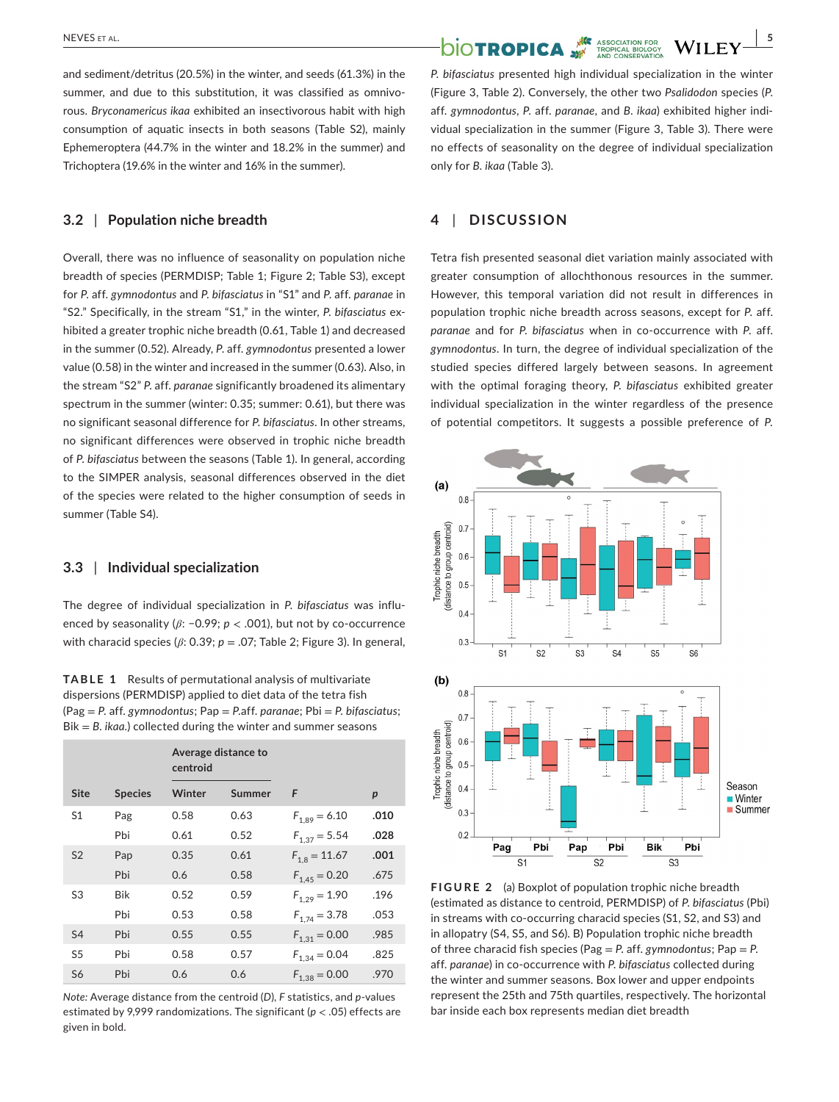and sediment/detritus (20.5%) in the winter, and seeds (61.3%) in the summer, and due to this substitution, it was classified as omnivorous. *Bryconamericus ikaa* exhibited an insectivorous habit with high consumption of aquatic insects in both seasons (Table S2), mainly Ephemeroptera (44.7% in the winter and 18.2% in the summer) and Trichoptera (19.6% in the winter and 16% in the summer).

## **3.2** | **Population niche breadth**

Overall, there was no influence of seasonality on population niche breadth of species (PERMDISP; Table 1; Figure 2; Table S3), except for *P*. aff. *gymnodontus* and *P. bifasciatus* in "S1" and *P*. aff. *paranae* in "S2." Specifically, in the stream "S1," in the winter, *P. bifasciatus* exhibited a greater trophic niche breadth (0.61, Table 1) and decreased in the summer (0.52). Already, *P*. aff. *gymnodontus* presented a lower value (0.58) in the winter and increased in the summer (0.63). Also, in the stream "S2" *P*. aff. *paranae* significantly broadened its alimentary spectrum in the summer (winter: 0.35; summer: 0.61), but there was no significant seasonal difference for *P. bifasciatus*. In other streams, no significant differences were observed in trophic niche breadth of *P. bifasciatus* between the seasons (Table 1). In general, according to the SIMPER analysis, seasonal differences observed in the diet of the species were related to the higher consumption of seeds in summer (Table S4).

#### **3.3** | **Individual specialization**

The degree of individual specialization in *P. bifasciatus* was influenced by seasonality (*β*: −0.99; *p* < .001), but not by co-occurrence with characid species (*β*: 0.39; *p* = .07; Table 2; Figure 3). In general,

**TABLE 1** Results of permutational analysis of multivariate dispersions (PERMDISP) applied to diet data of the tetra fish (Pag = *P*. aff. *gymnodontus*; Pap = *P*.aff. *paranae*; Pbi = *P. bifasciatus*; Bik = *B. ikaa*.) collected during the winter and summer seasons

|                |                | centroid | Average distance to |                   |                  |
|----------------|----------------|----------|---------------------|-------------------|------------------|
| <b>Site</b>    | <b>Species</b> | Winter   | Summer              | F                 | $\boldsymbol{p}$ |
| S1             | Pag            | 0.58     | 0.63                | $F_{1.89} = 6.10$ | .010             |
|                | Pbi            | 0.61     | 0.52                | $F_{1,37} = 5.54$ | .028             |
| S <sub>2</sub> | Pap            | 0.35     | 0.61                | $F_{1,8} = 11.67$ | .001             |
|                | Pbi            | 0.6      | 0.58                | $F_{1,45} = 0.20$ | .675             |
| S3             | Bik            | 0.52     | 0.59                | $F_{1,29} = 1.90$ | .196             |
|                | Pbi            | 0.53     | 0.58                | $F_{1,74} = 3.78$ | .053             |
| S4             | Pbi            | 0.55     | 0.55                | $F_{1,31} = 0.00$ | .985             |
| S5             | Pbi            | 0.58     | 0.57                | $F_{1,34} = 0.04$ | .825             |
| S <sub>6</sub> | Pbi            | 0.6      | 0.6                 | $F_{1,38} = 0.00$ | .970             |

*Note:* Average distance from the centroid (*D*), *F* statistics, and *p*-values estimated by 9,999 randomizations. The significant (*p* < .05) effects are given in bold.

*P. bifasciatus* presented high individual specialization in the winter (Figure 3, Table 2). Conversely, the other two *Psalidodon* species (*P*. aff. *gymnodontus*, *P*. aff. *paranae*, and *B. ikaa*) exhibited higher individual specialization in the summer (Figure 3, Table 3). There were no effects of seasonality on the degree of individual specialization only for *B. ikaa* (Table 3).

## **4** | **DISCUSSION**

Tetra fish presented seasonal diet variation mainly associated with greater consumption of allochthonous resources in the summer. However, this temporal variation did not result in differences in population trophic niche breadth across seasons, except for *P*. aff. *paranae* and for *P. bifasciatus* when in co-occurrence with *P*. aff. *gymnodontus*. In turn, the degree of individual specialization of the studied species differed largely between seasons. In agreement with the optimal foraging theory, *P. bifasciatus* exhibited greater individual specialization in the winter regardless of the presence of potential competitors. It suggests a possible preference of *P.* 



**FIGURE 2** (a) Boxplot of population trophic niche breadth (estimated as distance to centroid, PERMDISP) of *P. bifasciatus* (Pbi) in streams with co-occurring characid species (S1, S2, and S3) and in allopatry (S4, S5, and S6). B) Population trophic niche breadth of three characid fish species (Pag = *P*. aff. *gymnodontus*; Pap = *P*. aff. *paranae*) in co-occurrence with *P. bifasciatus* collected during the winter and summer seasons. Box lower and upper endpoints represent the 25th and 75th quartiles, respectively. The horizontal bar inside each box represents median diet breadth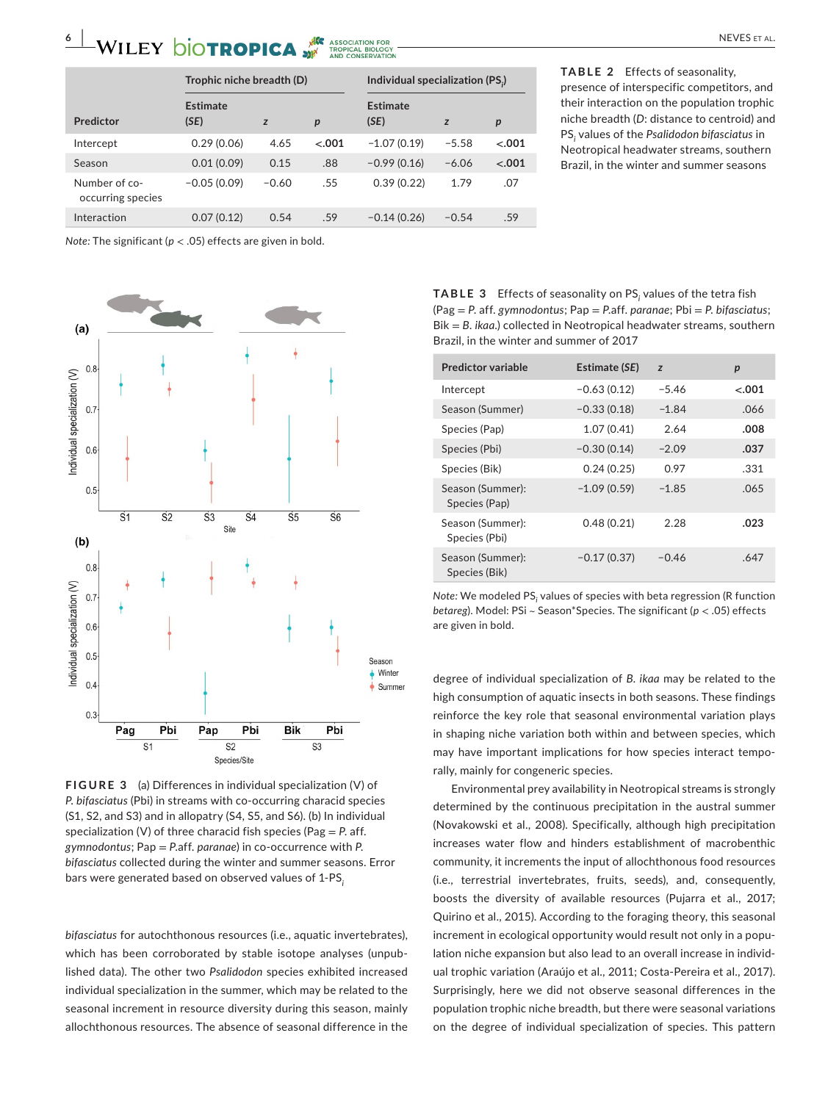# **6 | WILEY DIOTROPICA** WE ASSOCIATION FOR<br> **EXECUTIVE AND TROPICAL** TROPICAL EDUCATION FOR **ANY TROPICAL EDUCATION**

|                                    | Trophic niche breadth (D) |         |         | Individual specialization (PS.) |         |                  |
|------------------------------------|---------------------------|---------|---------|---------------------------------|---------|------------------|
| Predictor                          | <b>Estimate</b><br>(SE)   | z       | p       | Estimate<br>(SE)                | z       | $\boldsymbol{p}$ |
| Intercept                          | 0.29(0.06)                | 4.65    | $-.001$ | $-1.07(0.19)$                   | $-5.58$ | $-.001$          |
| Season                             | 0.01(0.09)                | 0.15    | .88     | $-0.99(0.16)$                   | $-6.06$ | $-.001$          |
| Number of co-<br>occurring species | $-0.05(0.09)$             | $-0.60$ | .55     | 0.39(0.22)                      | 1.79    | .07              |
| Interaction                        | 0.07(0.12)                | 0.54    | .59     | $-0.14(0.26)$                   | $-0.54$ | .59              |

**TABLE 2** Effects of seasonality, presence of interspecific competitors, and their interaction on the population trophic niche breadth (*D*: distance to centroid) and PS*<sup>i</sup>* values of the *Psalidodon bifasciatus* in Neotropical headwater streams, southern Brazil, in the winter and summer seasons

*Note:* The significant ( $p < .05$ ) effects are given in bold.



**FIGURE 3** (a) Differences in individual specialization (V) of *P. bifasciatus* (Pbi) in streams with co-occurring characid species (S1, S2, and S3) and in allopatry (S4, S5, and S6). (b) In individual specialization (V) of three characid fish species (Pag = *P*. aff. *gymnodontus*; Pap = *P*.aff. *paranae*) in co-occurrence with *P. bifasciatus* collected during the winter and summer seasons. Error bars were generated based on observed values of 1-PS*<sup>i</sup>*

*bifasciatus* for autochthonous resources (i.e., aquatic invertebrates), which has been corroborated by stable isotope analyses (unpublished data). The other two *Psalidodon* species exhibited increased individual specialization in the summer, which may be related to the seasonal increment in resource diversity during this season, mainly allochthonous resources. The absence of seasonal difference in the

**TABLE 3** Effects of seasonality on PS*<sup>i</sup>* values of the tetra fish (Pag = *P*. aff. *gymnodontus*; Pap = *P*.aff. *paranae*; Pbi = *P. bifasciatus*; Bik = *B. ikaa*.) collected in Neotropical headwater streams, southern Brazil, in the winter and summer of 2017

| <b>Predictor variable</b>         | <b>Estimate (SE)</b> | z       | p      |
|-----------------------------------|----------------------|---------|--------|
| Intercept                         | $-0.63(0.12)$        | $-5.46$ | < .001 |
| Season (Summer)                   | $-0.33(0.18)$        | $-1.84$ | .066   |
| Species (Pap)                     | 1.07(0.41)           | 2.64    | .008   |
| Species (Pbi)                     | $-0.30(0.14)$        | $-2.09$ | .037   |
| Species (Bik)                     | 0.24(0.25)           | 0.97    | .331   |
| Season (Summer):<br>Species (Pap) | $-1.09(0.59)$        | $-1.85$ | .065   |
| Season (Summer):<br>Species (Pbi) | 0.48(0.21)           | 2.28    | .023   |
| Season (Summer):<br>Species (Bik) | $-0.17(0.37)$        | $-0.46$ | .647   |

*Note:* We modeled PS<sub>i</sub> values of species with beta regression (R function *betareg*). Model: PSi ~ Season\*Species. The significant (*p* < .05) effects are given in bold.

degree of individual specialization of *B. ikaa* may be related to the high consumption of aquatic insects in both seasons. These findings reinforce the key role that seasonal environmental variation plays in shaping niche variation both within and between species, which may have important implications for how species interact temporally, mainly for congeneric species.

Environmental prey availability in Neotropical streams is strongly determined by the continuous precipitation in the austral summer (Novakowski et al., 2008). Specifically, although high precipitation increases water flow and hinders establishment of macrobenthic community, it increments the input of allochthonous food resources (i.e., terrestrial invertebrates, fruits, seeds), and, consequently, boosts the diversity of available resources (Pujarra et al., 2017; Quirino et al., 2015). According to the foraging theory, this seasonal increment in ecological opportunity would result not only in a population niche expansion but also lead to an overall increase in individual trophic variation (Araújo et al., 2011; Costa-Pereira et al., 2017). Surprisingly, here we did not observe seasonal differences in the population trophic niche breadth, but there were seasonal variations on the degree of individual specialization of species. This pattern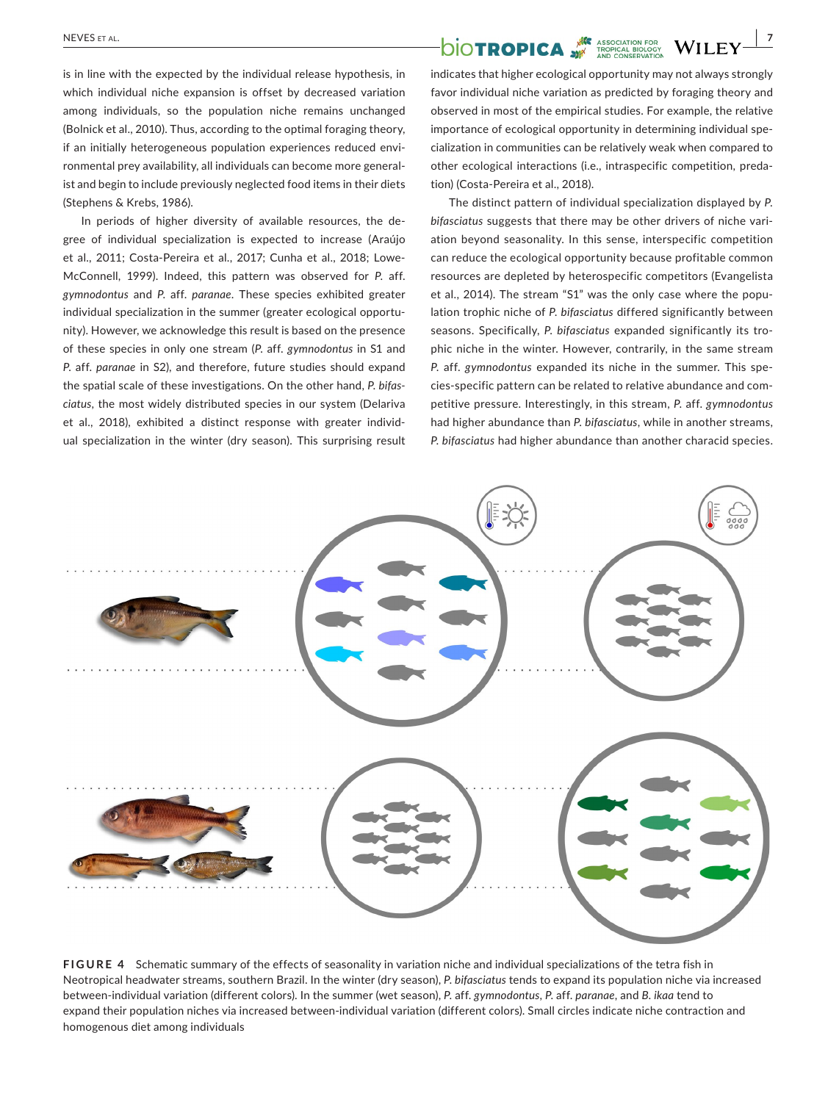is in line with the expected by the individual release hypothesis, in which individual niche expansion is offset by decreased variation among individuals, so the population niche remains unchanged (Bolnick et al., 2010). Thus, according to the optimal foraging theory, if an initially heterogeneous population experiences reduced environmental prey availability, all individuals can become more generalist and begin to include previously neglected food items in their diets (Stephens & Krebs, 1986).

In periods of higher diversity of available resources, the degree of individual specialization is expected to increase (Araújo et al., 2011; Costa-Pereira et al., 2017; Cunha et al., 2018; Lowe-McConnell, 1999). Indeed, this pattern was observed for *P*. aff. *gymnodontus* and *P*. aff. *paranae*. These species exhibited greater individual specialization in the summer (greater ecological opportunity). However, we acknowledge this result is based on the presence of these species in only one stream (*P*. aff. *gymnodontus* in S1 and *P*. aff. *paranae* in S2), and therefore, future studies should expand the spatial scale of these investigations. On the other hand, *P. bifasciatus*, the most widely distributed species in our system (Delariva et al., 2018), exhibited a distinct response with greater individual specialization in the winter (dry season). This surprising result

## **NEVES ET AL. NEVES ET AL.** *NEVES* ET AL.

indicates that higher ecological opportunity may not always strongly favor individual niche variation as predicted by foraging theory and observed in most of the empirical studies. For example, the relative importance of ecological opportunity in determining individual specialization in communities can be relatively weak when compared to other ecological interactions (i.e., intraspecific competition, predation) (Costa-Pereira et al., 2018).

The distinct pattern of individual specialization displayed by *P. bifasciatus* suggests that there may be other drivers of niche variation beyond seasonality. In this sense, interspecific competition can reduce the ecological opportunity because profitable common resources are depleted by heterospecific competitors (Evangelista et al., 2014). The stream "S1" was the only case where the population trophic niche of *P. bifasciatus* differed significantly between seasons. Specifically, *P. bifasciatus* expanded significantly its trophic niche in the winter. However, contrarily, in the same stream *P*. aff. *gymnodontus* expanded its niche in the summer. This species-specific pattern can be related to relative abundance and competitive pressure. Interestingly, in this stream, *P*. aff. *gymnodontus* had higher abundance than *P. bifasciatus*, while in another streams, *P. bifasciatus* had higher abundance than another characid species.



**FIGURE 4** Schematic summary of the effects of seasonality in variation niche and individual specializations of the tetra fish in Neotropical headwater streams, southern Brazil. In the winter (dry season), *P. bifasciatus* tends to expand its population niche via increased between-individual variation (different colors). In the summer (wet season), *P*. aff. *gymnodontus*, *P*. aff. *paranae*, and *B. ikaa* tend to expand their population niches via increased between-individual variation (different colors). Small circles indicate niche contraction and homogenous diet among individuals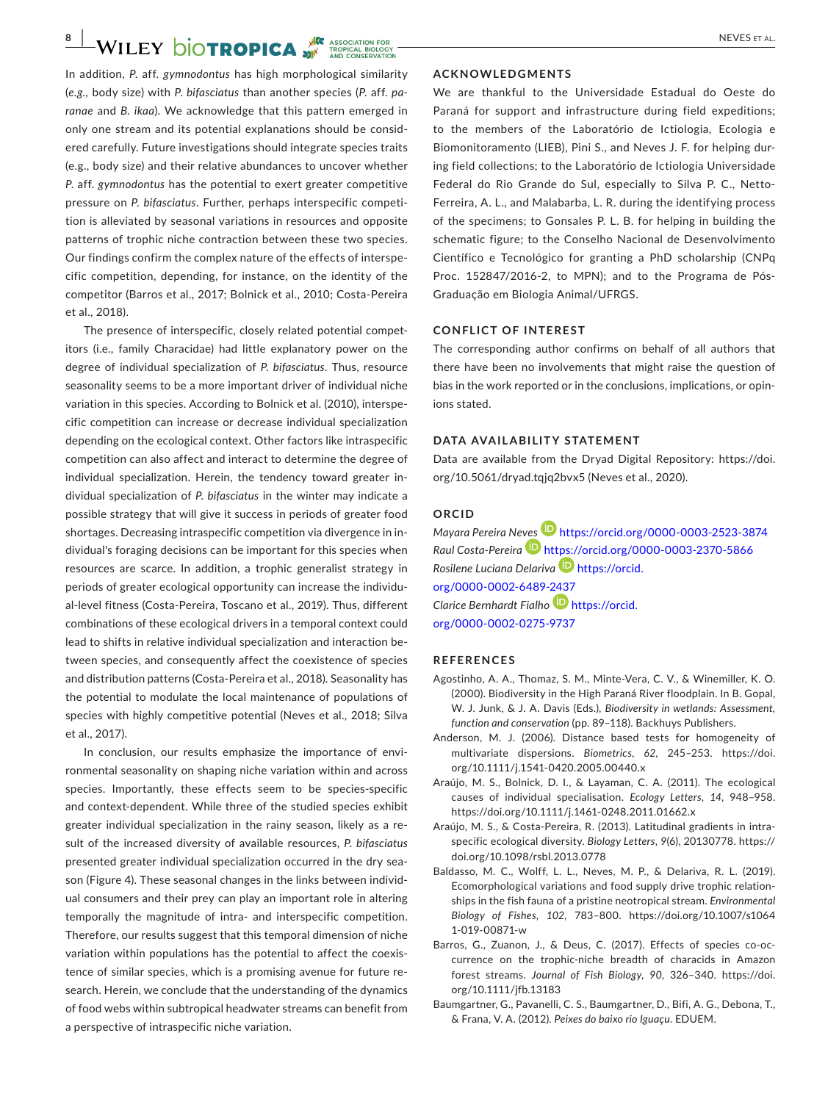In addition, *P*. aff. *gymnodontus* has high morphological similarity (*e.g.,* body size) with *P. bifasciatus* than another species (*P*. aff. *paranae* and *B. ikaa*). We acknowledge that this pattern emerged in only one stream and its potential explanations should be considered carefully. Future investigations should integrate species traits (e.g., body size) and their relative abundances to uncover whether *P*. aff. *gymnodontus* has the potential to exert greater competitive pressure on *P. bifasciatus*. Further, perhaps interspecific competition is alleviated by seasonal variations in resources and opposite patterns of trophic niche contraction between these two species. Our findings confirm the complex nature of the effects of interspecific competition, depending, for instance, on the identity of the competitor (Barros et al., 2017; Bolnick et al., 2010; Costa-Pereira et al., 2018).

The presence of interspecific, closely related potential competitors (i.e., family Characidae) had little explanatory power on the degree of individual specialization of *P. bifasciatus*. Thus, resource seasonality seems to be a more important driver of individual niche variation in this species. According to Bolnick et al. (2010), interspecific competition can increase or decrease individual specialization depending on the ecological context. Other factors like intraspecific competition can also affect and interact to determine the degree of individual specialization. Herein, the tendency toward greater individual specialization of *P. bifasciatus* in the winter may indicate a possible strategy that will give it success in periods of greater food shortages. Decreasing intraspecific competition via divergence in individual's foraging decisions can be important for this species when resources are scarce. In addition, a trophic generalist strategy in periods of greater ecological opportunity can increase the individual-level fitness (Costa-Pereira, Toscano et al., 2019). Thus, different combinations of these ecological drivers in a temporal context could lead to shifts in relative individual specialization and interaction between species, and consequently affect the coexistence of species and distribution patterns (Costa-Pereira et al., 2018). Seasonality has the potential to modulate the local maintenance of populations of species with highly competitive potential (Neves et al., 2018; Silva et al., 2017).

In conclusion, our results emphasize the importance of environmental seasonality on shaping niche variation within and across species. Importantly, these effects seem to be species-specific and context-dependent. While three of the studied species exhibit greater individual specialization in the rainy season, likely as a result of the increased diversity of available resources, *P. bifasciatus* presented greater individual specialization occurred in the dry season (Figure 4). These seasonal changes in the links between individual consumers and their prey can play an important role in altering temporally the magnitude of intra- and interspecific competition. Therefore, our results suggest that this temporal dimension of niche variation within populations has the potential to affect the coexistence of similar species, which is a promising avenue for future research. Herein, we conclude that the understanding of the dynamics of food webs within subtropical headwater streams can benefit from a perspective of intraspecific niche variation.

#### **ACKNOWLEDGMENTS**

We are thankful to the Universidade Estadual do Oeste do Paraná for support and infrastructure during field expeditions; to the members of the Laboratório de Ictiologia, Ecologia e Biomonitoramento (LIEB), Pini S., and Neves J. F. for helping during field collections; to the Laboratório de Ictiologia Universidade Federal do Rio Grande do Sul, especially to Silva P. C., Netto-Ferreira, A. L., and Malabarba, L. R. during the identifying process of the specimens; to Gonsales P. L. B. for helping in building the schematic figure; to the Conselho Nacional de Desenvolvimento Científico e Tecnológico for granting a PhD scholarship (CNPq Proc. 152847/2016-2, to MPN); and to the Programa de Pós-Graduação em Biologia Animal/UFRGS.

### **CONFLICT OF INTEREST**

The corresponding author confirms on behalf of all authors that there have been no involvements that might raise the question of bias in the work reported or in the conclusions, implications, or opinions stated.

#### **DATA AVAILABILITY STATEMENT**

Data are available from the Dryad Digital Repository: [https://doi.](https://doi.org/10.5061/dryad.tqjq2bvx5) [org/10.5061/dryad.tqjq2bvx5](https://doi.org/10.5061/dryad.tqjq2bvx5) (Neves et al., 2020).

## **ORCID**

*Mayara Pereira Ne[ves](https://orcid.org/0000-0003-2370-5866)* <https://orcid.org/0000-0003-2523-3874> *Raul Costa-Pereira* <https://orcid.org/0000-0003-2370-5866> *Rosilene Luciana Delariva* [https://orcid.](https://orcid.org/0000-0002-6489-2437) [org/0000-0002-6489-2437](https://orcid.org/0000-0002-6489-2437) *Clarice Bernhardt Fialho* [https://orcid.](https://orcid.org/0000-0002-0275-9737) [org/0000-0002-0275-9737](https://orcid.org/0000-0002-0275-9737)

#### **REFERENCES**

- Agostinho, A. A., Thomaz, S. M., Minte-Vera, C. V., & Winemiller, K. O. (2000). Biodiversity in the High Paraná River floodplain. In B. Gopal, W. J. Junk, & J. A. Davis (Eds.), *Biodiversity in wetlands: Assessment, function and conservation* (pp. 89–118). Backhuys Publishers.
- Anderson, M. J. (2006). Distance based tests for homogeneity of multivariate dispersions. *Biometrics*, *62*, 245–253. [https://doi.](https://doi.org/10.1111/j.1541-0420.2005.00440.x) [org/10.1111/j.1541-0420.2005.00440.x](https://doi.org/10.1111/j.1541-0420.2005.00440.x)
- Araújo, M. S., Bolnick, D. I., & Layaman, C. A. (2011). The ecological causes of individual specialisation. *Ecology Letters*, *14*, 948–958. <https://doi.org/10.1111/j.1461-0248.2011.01662.x>
- Araújo, M. S., & Costa-Pereira, R. (2013). Latitudinal gradients in intraspecific ecological diversity. *Biology Letters*, *9*(6), 20130778. [https://](https://doi.org/10.1098/rsbl.2013.0778) [doi.org/10.1098/rsbl.2013.0778](https://doi.org/10.1098/rsbl.2013.0778)
- Baldasso, M. C., Wolff, L. L., Neves, M. P., & Delariva, R. L. (2019). Ecomorphological variations and food supply drive trophic relationships in the fish fauna of a pristine neotropical stream. *Environmental Biology of Fishes*, *102*, 783–800. [https://doi.org/10.1007/s1064](https://doi.org/10.1007/s10641-019-00871-w) [1-019-00871-w](https://doi.org/10.1007/s10641-019-00871-w)
- Barros, G., Zuanon, J., & Deus, C. (2017). Effects of species co-occurrence on the trophic-niche breadth of characids in Amazon forest streams. *Journal of Fish Biology*, *90*, 326–340. [https://doi.](https://doi.org/10.1111/jfb.13183) [org/10.1111/jfb.13183](https://doi.org/10.1111/jfb.13183)
- Baumgartner, G., Pavanelli, C. S., Baumgartner, D., Bifi, A. G., Debona, T., & Frana, V. A. (2012). *Peixes do baixo rio Iguaçu*. EDUEM.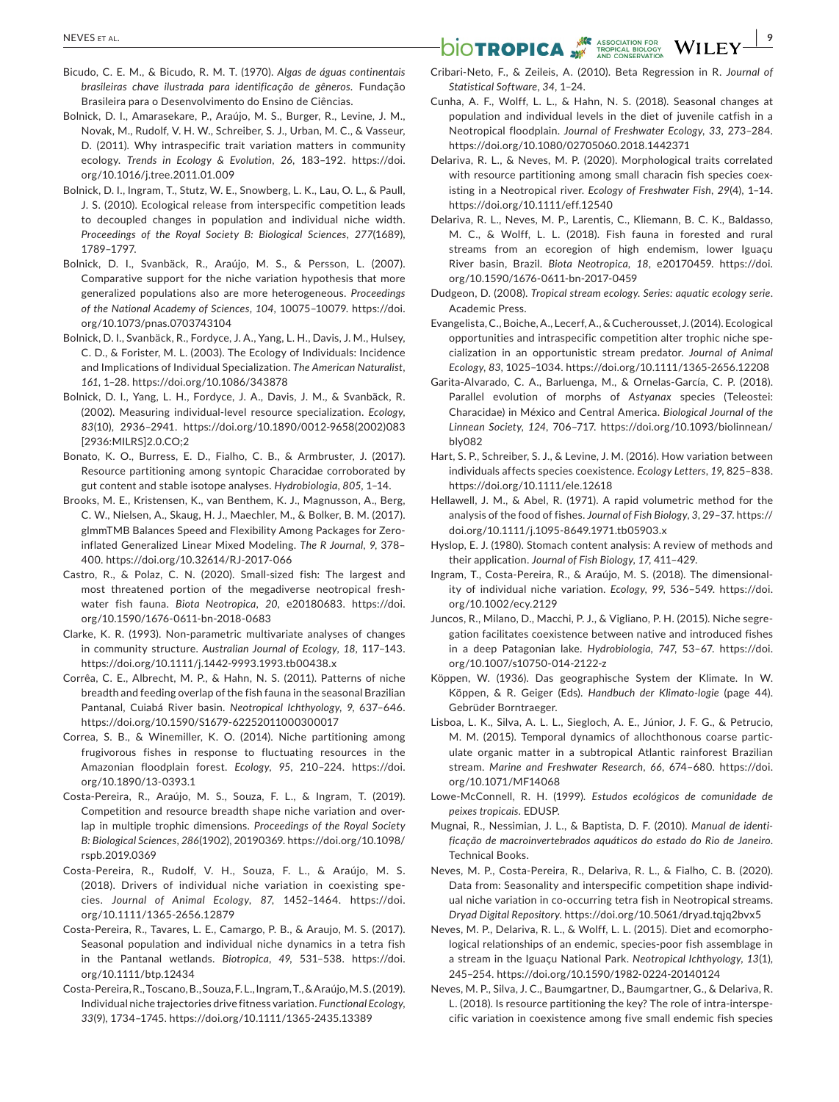- Bicudo, C. E. M., & Bicudo, R. M. T. (1970). *Algas de águas continentais brasileiras chave ilustrada para identificação de gêneros*. Fundação Brasileira para o Desenvolvimento do Ensino de Ciências.
- Bolnick, D. I., Amarasekare, P., Araújo, M. S., Burger, R., Levine, J. M., Novak, M., Rudolf, V. H. W., Schreiber, S. J., Urban, M. C., & Vasseur, D. (2011). Why intraspecific trait variation matters in community ecology. *Trends in Ecology & Evolution*, *26*, 183–192. [https://doi.](https://doi.org/10.1016/j.tree.2011.01.009) [org/10.1016/j.tree.2011.01.009](https://doi.org/10.1016/j.tree.2011.01.009)
- Bolnick, D. I., Ingram, T., Stutz, W. E., Snowberg, L. K., Lau, O. L., & Paull, J. S. (2010). Ecological release from interspecific competition leads to decoupled changes in population and individual niche width. *Proceedings of the Royal Society B: Biological Sciences*, *277*(1689), 1789–1797.
- Bolnick, D. I., Svanbäck, R., Araújo, M. S., & Persson, L. (2007). Comparative support for the niche variation hypothesis that more generalized populations also are more heterogeneous. *Proceedings of the National Academy of Sciences*, *104*, 10075–10079. [https://doi.](https://doi.org/10.1073/pnas.0703743104) [org/10.1073/pnas.0703743104](https://doi.org/10.1073/pnas.0703743104)
- Bolnick, D. I., Svanbäck, R., Fordyce, J. A., Yang, L. H., Davis, J. M., Hulsey, C. D., & Forister, M. L. (2003). The Ecology of Individuals: Incidence and Implications of Individual Specialization. *The American Naturalist*, *161*, 1–28. <https://doi.org/10.1086/343878>
- Bolnick, D. I., Yang, L. H., Fordyce, J. A., Davis, J. M., & Svanbäck, R. (2002). Measuring individual-level resource specialization. *Ecology*, *83*(10), 2936–2941. [https://doi.org/10.1890/0012-9658\(2002\)083](https://doi.org/10.1890/0012-9658(2002)083%5B2936:MILRS%5D2.0.CO;2) [\[2936:MILRS\]2.0.CO;2](https://doi.org/10.1890/0012-9658(2002)083%5B2936:MILRS%5D2.0.CO;2)
- Bonato, K. O., Burress, E. D., Fialho, C. B., & Armbruster, J. (2017). Resource partitioning among syntopic Characidae corroborated by gut content and stable isotope analyses. *Hydrobiologia*, *805*, 1–14.
- Brooks, M. E., Kristensen, K., van Benthem, K. J., Magnusson, A., Berg, C. W., Nielsen, A., Skaug, H. J., Maechler, M., & Bolker, B. M. (2017). glmmTMB Balances Speed and Flexibility Among Packages for Zeroinflated Generalized Linear Mixed Modeling. *The R Journal*, *9*, 378– 400.<https://doi.org/10.32614/RJ-2017-066>
- Castro, R., & Polaz, C. N. (2020). Small-sized fish: The largest and most threatened portion of the megadiverse neotropical freshwater fish fauna. *Biota Neotropica*, *20*, e20180683. [https://doi.](https://doi.org/10.1590/1676-0611-bn-2018-0683) [org/10.1590/1676-0611-bn-2018-0683](https://doi.org/10.1590/1676-0611-bn-2018-0683)
- Clarke, K. R. (1993). Non-parametric multivariate analyses of changes in community structure. *Australian Journal of Ecology*, *18*, 117–143. <https://doi.org/10.1111/j.1442-9993.1993.tb00438.x>
- Corrêa, C. E., Albrecht, M. P., & Hahn, N. S. (2011). Patterns of niche breadth and feeding overlap of the fish fauna in the seasonal Brazilian Pantanal, Cuiabá River basin. *Neotropical Ichthyology*, *9*, 637–646. <https://doi.org/10.1590/S1679-62252011000300017>
- Correa, S. B., & Winemiller, K. O. (2014). Niche partitioning among frugivorous fishes in response to fluctuating resources in the Amazonian floodplain forest. *Ecology*, *95*, 210–224. [https://doi.](https://doi.org/10.1890/13-0393.1) [org/10.1890/13-0393.1](https://doi.org/10.1890/13-0393.1)
- Costa-Pereira, R., Araújo, M. S., Souza, F. L., & Ingram, T. (2019). Competition and resource breadth shape niche variation and overlap in multiple trophic dimensions. *Proceedings of the Royal Society B: Biological Sciences*, *286*(1902), 20190369. [https://doi.org/10.1098/](https://doi.org/10.1098/rspb.2019.0369) [rspb.2019.0369](https://doi.org/10.1098/rspb.2019.0369)
- Costa-Pereira, R., Rudolf, V. H., Souza, F. L., & Araújo, M. S. (2018). Drivers of individual niche variation in coexisting species. *Journal of Animal Ecology*, *87*, 1452–1464. [https://doi.](https://doi.org/10.1111/1365-2656.12879) [org/10.1111/1365-2656.12879](https://doi.org/10.1111/1365-2656.12879)
- Costa-Pereira, R., Tavares, L. E., Camargo, P. B., & Araujo, M. S. (2017). Seasonal population and individual niche dynamics in a tetra fish in the Pantanal wetlands. *Biotropica*, *49*, 531–538. [https://doi.](https://doi.org/10.1111/btp.12434) [org/10.1111/btp.12434](https://doi.org/10.1111/btp.12434)
- Costa-Pereira, R., Toscano, B., Souza, F. L., Ingram, T., & Araújo, M. S. (2019). Individual niche trajectories drive fitness variation. *Functional Ecology*, *33*(9), 1734–1745.<https://doi.org/10.1111/1365-2435.13389>
- **NEVES ET AL. NEVES ET AL. SESOCIATION FOR UPICAL BIOLOGY** 
	- Cribari-Neto, F., & Zeileis, A. (2010). Beta Regression in R. *Journal of Statistical Software*, *34*, 1–24.
	- Cunha, A. F., Wolff, L. L., & Hahn, N. S. (2018). Seasonal changes at population and individual levels in the diet of juvenile catfish in a Neotropical floodplain. *Journal of Freshwater Ecology*, *33*, 273–284. <https://doi.org/10.1080/02705060.2018.1442371>
	- Delariva, R. L., & Neves, M. P. (2020). Morphological traits correlated with resource partitioning among small characin fish species coexisting in a Neotropical river. *Ecology of Freshwater Fish*, *29*(4), 1–14. <https://doi.org/10.1111/eff.12540>
	- Delariva, R. L., Neves, M. P., Larentis, C., Kliemann, B. C. K., Baldasso, M. C., & Wolff, L. L. (2018). Fish fauna in forested and rural streams from an ecoregion of high endemism, lower Iguaçu River basin, Brazil. *Biota Neotropica*, *18*, e20170459. [https://doi.](https://doi.org/10.1590/1676-0611-bn-2017-0459) [org/10.1590/1676-0611-bn-2017-0459](https://doi.org/10.1590/1676-0611-bn-2017-0459)
	- Dudgeon, D. (2008). *Tropical stream ecology. Series: aquatic ecology serie*. Academic Press.
	- Evangelista, C., Boiche, A., Lecerf, A., & Cucherousset, J. (2014). Ecological opportunities and intraspecific competition alter trophic niche specialization in an opportunistic stream predator. *Journal of Animal Ecology*, *83*, 1025–1034. <https://doi.org/10.1111/1365-2656.12208>
	- Garita-Alvarado, C. A., Barluenga, M., & Ornelas-García, C. P. (2018). Parallel evolution of morphs of *Astyanax* species (Teleostei: Characidae) in México and Central America. *Biological Journal of the Linnean Society*, *124*, 706–717. [https://doi.org/10.1093/biolinnean/](https://doi.org/10.1093/biolinnean/bly082) [bly082](https://doi.org/10.1093/biolinnean/bly082)
	- Hart, S. P., Schreiber, S. J., & Levine, J. M. (2016). How variation between individuals affects species coexistence. *Ecology Letters*, *19*, 825–838. <https://doi.org/10.1111/ele.12618>
	- Hellawell, J. M., & Abel, R. (1971). A rapid volumetric method for the analysis of the food of fishes. *Journal of Fish Biology*, *3*, 29–37. [https://](https://doi.org/10.1111/j.1095-8649.1971.tb05903.x) [doi.org/10.1111/j.1095-8649.1971.tb05903.x](https://doi.org/10.1111/j.1095-8649.1971.tb05903.x)
	- Hyslop, E. J. (1980). Stomach content analysis: A review of methods and their application. *Journal of Fish Biology*, *17*, 411–429.
	- Ingram, T., Costa-Pereira, R., & Araújo, M. S. (2018). The dimensionality of individual niche variation. *Ecology*, *99*, 536–549. [https://doi.](https://doi.org/10.1002/ecy.2129) [org/10.1002/ecy.2129](https://doi.org/10.1002/ecy.2129)
	- Juncos, R., Milano, D., Macchi, P. J., & Vigliano, P. H. (2015). Niche segregation facilitates coexistence between native and introduced fishes in a deep Patagonian lake. *Hydrobiologia*, *747*, 53–67. [https://doi.](https://doi.org/10.1007/s10750-014-2122-z) [org/10.1007/s10750-014-2122-z](https://doi.org/10.1007/s10750-014-2122-z)
	- Köppen, W. (1936). Das geographische System der Klimate. In W. Köppen, & R. Geiger (Eds). *Handbuch der Klimato-logie* (page 44). Gebrüder Borntraeger.
	- Lisboa, L. K., Silva, A. L. L., Siegloch, A. E., Júnior, J. F. G., & Petrucio, M. M. (2015). Temporal dynamics of allochthonous coarse particulate organic matter in a subtropical Atlantic rainforest Brazilian stream. *Marine and Freshwater Research*, *66*, 674–680. [https://doi.](https://doi.org/10.1071/MF14068) [org/10.1071/MF14068](https://doi.org/10.1071/MF14068)
	- Lowe-McConnell, R. H. (1999). *Estudos ecológicos de comunidade de peixes tropicais*. EDUSP.
	- Mugnai, R., Nessimian, J. L., & Baptista, D. F. (2010). *Manual de identificação de macroinvertebrados aquáticos do estado do Rio de Janeiro*. Technical Books.
	- Neves, M. P., Costa-Pereira, R., Delariva, R. L., & Fialho, C. B. (2020). Data from: Seasonality and interspecific competition shape individual niche variation in co-occurring tetra fish in Neotropical streams. *Dryad Digital Repository*. <https://doi.org/10.5061/dryad.tqjq2bvx5>
	- Neves, M. P., Delariva, R. L., & Wolff, L. L. (2015). Diet and ecomorphological relationships of an endemic, species-poor fish assemblage in a stream in the Iguaçu National Park. *Neotropical Ichthyology*, *13*(1), 245–254. <https://doi.org/10.1590/1982-0224-20140124>
	- Neves, M. P., Silva, J. C., Baumgartner, D., Baumgartner, G., & Delariva, R. L. (2018). Is resource partitioning the key? The role of intra-interspecific variation in coexistence among five small endemic fish species